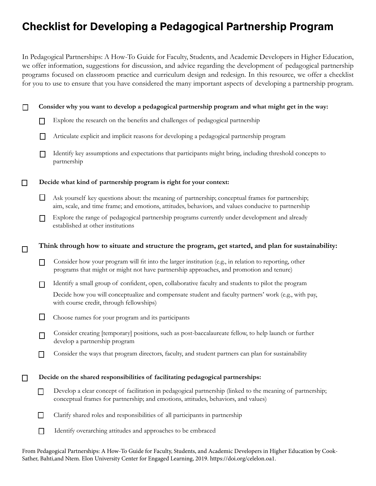# Checklist for Developing a Pedagogical Partnership Program

In Pedagogical Partnerships: A How-To Guide for Faculty, Students, and Academic Developers in Higher Education, we offer information, suggestions for discussion, and advice regarding the development of pedagogical partnership programs focused on classroom practice and curriculum design and redesign. In this resource, we offer a checklist for you to use to ensure that you have considered the many important aspects of developing a partnership program.

### **Consider why you want to develop a pedagogical partnership program and what might get in the way:**

- Explore the research on the benefits and challenges of pedagogical partnership  $\Box$
- $\Box$ Articulate explicit and implicit reasons for developing a pedagogical partnership program
- Identify key assumptions and expectations that participants might bring, including threshold concepts to  $\Box$ partnership

#### **Decide what kind of partnership program is right for your context:** П

П

 $\Box$ 

- Ask yourself key questions about: the meaning of partnership; conceptual frames for partnership; aim, scale, and time frame; and emotions, attitudes, behaviors, and values conducive to partnership
- Explore the range of pedagogical partnership programs currently under development and already  $\Box$ established at other institutions

## **Think through how to situate and structure the program, get started, and plan for sustainability:**

- Consider how your program will fit into the larger institution (e.g., in relation to reporting, other  $\Box$ programs that might or might not have partnership approaches, and promotion and tenure)
- Identify a small group of confident, open, collaborative faculty and students to pilot the program  $\Box$

Decide how you will conceptualize and compensate student and faculty partners' work (e.g., with pay, with course credit, through fellowships)

- $\Box$ Choose names for your program and its participants
- Consider creating [temporary] positions, such as post-baccalaureate fellow, to help launch or further  $\Box$ develop a partnership program
- $\Box$ Consider the ways that program directors, faculty, and student partners can plan for sustainability

 $\Box$ **Decide on the shared responsibilities of facilitating pedagogical partnerships:**

- Develop a clear concept of facilitation in pedagogical partnership (linked to the meaning of partnership; П. conceptual frames for partnership; and emotions, attitudes, behaviors, and values)
- $\Box$ Clarify shared roles and responsibilities of all participants in partnership
- $\Box$ Identify overarching attitudes and approaches to be embraced

From Pedagogical Partnerships: A How-To Guide for Faculty, Students, and Academic Developers in Higher Education by Cook-Sather, Bahti,and Ntem. Elon University Center for Engaged Learning, 2019. https://doi.org/celelon.oa1.